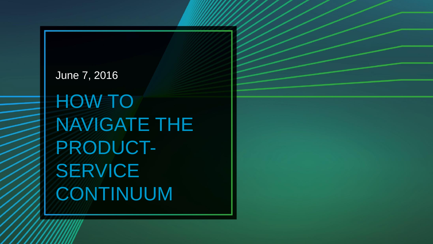## June 7, 2016 HOW TO NAVIGATE THE PRODUCT-SERVICE CONTINUUM

© 2016 Cognizant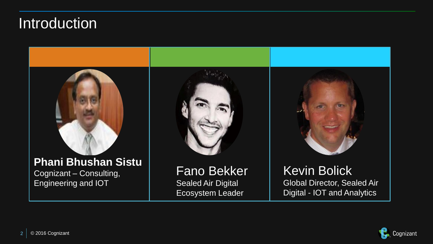### **Introduction**



Engineering and IOT



Fano Bekker Sealed Air Digital Ecosystem Leader



Kevin Bolick Global Director, Sealed Air Digital - IOT and Analytics

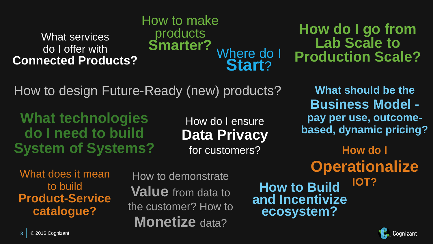### What services do I offer with **Connected Products?**

Where do I **Start**? How to make products **Smarter?**

**How do I go from Lab Scale to Production Scale?** 

How to design Future-Ready (new) products?

**What technologies do I need to build System of Systems?**

How do I ensure **Data Privacy** for customers?

What does it mean to build **Product-Service catalogue?**

How to demonstrate **Value** from data to the customer? How to **Monetize** data?

**What should be the Business Model pay per use, outcomebased, dynamic pricing? How do I**

**How to Build and Incentivize ecosystem? Operationalize IOT?**

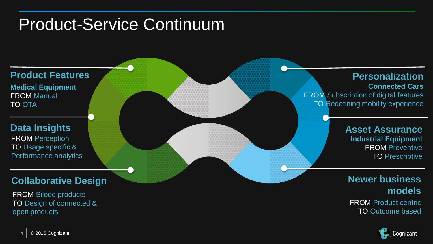### Product-Service Continuum



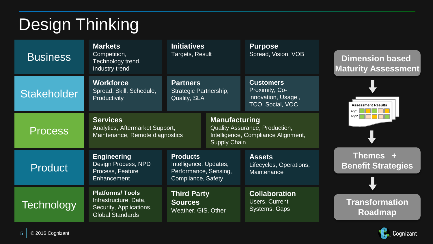### Design Thinking

| <b>Business</b>    | <b>Markets</b><br>Competition,<br>Technology trend,<br>Industry trend                                 | <b>Initiatives</b><br>Targets, Result                                                    |                                                                                                                      | <b>Purpose</b><br>Spread, Vision, VOB                                        | <b>Dimension based</b><br><b>Maturity Assessment</b> |
|--------------------|-------------------------------------------------------------------------------------------------------|------------------------------------------------------------------------------------------|----------------------------------------------------------------------------------------------------------------------|------------------------------------------------------------------------------|------------------------------------------------------|
| <b>Stakeholder</b> | <b>Workforce</b><br>Spread, Skill, Schedule,<br>Productivity                                          | <b>Partners</b><br>Strategic Partnership,<br>Quality, SLA                                |                                                                                                                      | <b>Customers</b><br>Proximity, Co-<br>innovation, Usage,<br>TCO, Social, VOC | <b>Assessment Results</b><br>App1                    |
| <b>Process</b>     | <b>Services</b><br>Analytics, Aftermarket Support,<br>Maintenance, Remote diagnostics                 |                                                                                          | <b>Manufacturing</b><br>Quality Assurance, Production,<br>Intelligence, Compliance Alignment,<br><b>Supply Chain</b> |                                                                              | App2                                                 |
| <b>Product</b>     | <b>Engineering</b><br>Design Process, NPD<br>Process, Feature<br>Enhancement                          | <b>Products</b><br>Intelligence, Updates,<br>Performance, Sensing,<br>Compliance, Safety |                                                                                                                      | <b>Assets</b><br>Lifecycles, Operations,<br>Maintenance                      | Themes +<br><b>Benefit Strategies</b>                |
| <b>Technology</b>  | <b>Platforms/Tools</b><br>Infrastructure, Data,<br>Security, Applications,<br><b>Global Standards</b> | <b>Third Party</b><br><b>Sources</b><br>Weather, GIS, Other                              |                                                                                                                      | <b>Collaboration</b><br>Users, Current<br>Systems, Gaps                      | <b>Transformation</b><br>Roadmap                     |

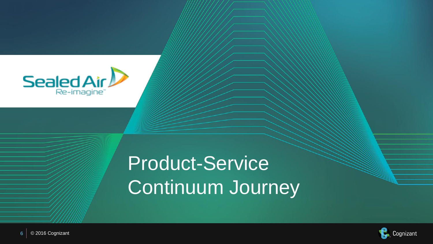

### Product-Service Continuum Journey

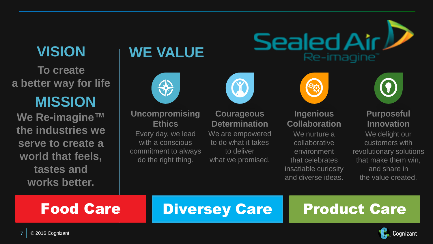### **VISION**

**To create a better way for life**

### **MISSION**

**We Re-imagine™ the industries we serve to create a world that feels, tastes and works better.**

### **WE VALUE**



#### **Uncompromising Ethics**

Every day, we lead with a conscious commitment to always do the right thing.



**Courageous Determination** We are empowered to do what it takes to deliver what we promised.



Sealed Air L

Re-imagine<sup>®</sup>

#### **Ingenious Collaboration**

We nurture a collaborative environment that celebrates insatiable curiosity and diverse ideas.



#### **Purposeful Innovation**

We delight our customers with revolutionary solutions that make them win, and share in the value created.

### Food Care Diversey Care Product Care

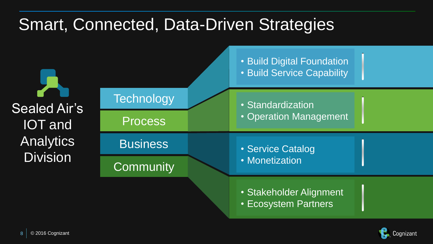### Smart, Connected, Data-Driven Strategies



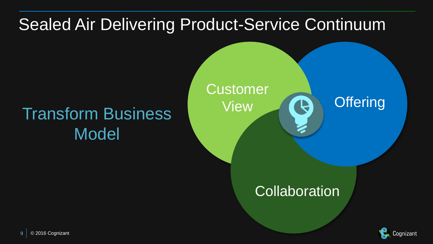### Sealed Air Delivering Product-Service Continuum

### Transform Business Model



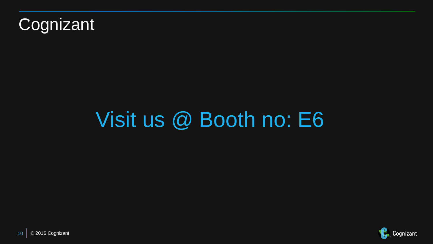

# Visit us @ Booth no: E6